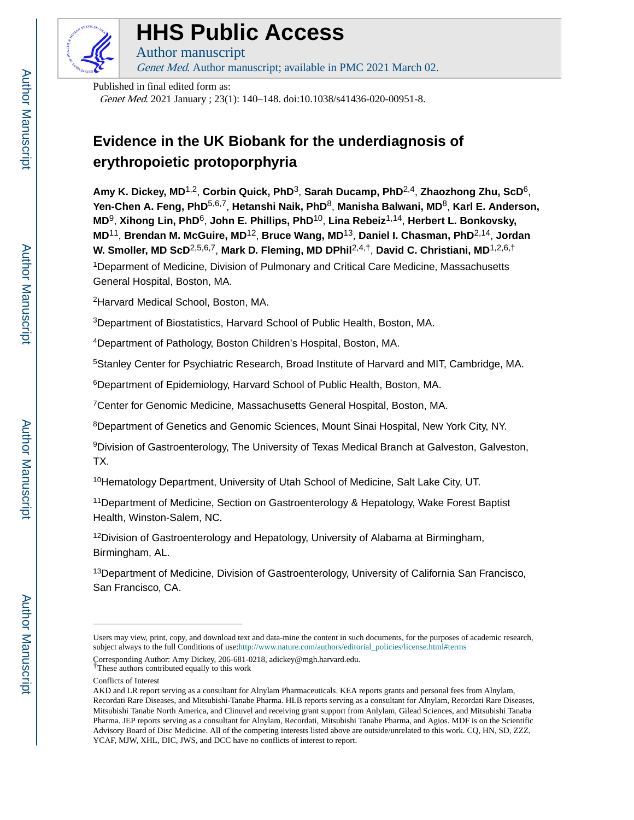

# **HHS Public Access**

Author manuscript Genet Med. Author manuscript; available in PMC 2021 March 02.

Published in final edited form as:

Genet Med. 2021 January ; 23(1): 140–148. doi:10.1038/s41436-020-00951-8.

## **Evidence in the UK Biobank for the underdiagnosis of erythropoietic protoporphyria**

**Amy K. Dickey, MD**1,2, **Corbin Quick, PhD**3, **Sarah Ducamp, PhD**2,4, **Zhaozhong Zhu, ScD**6, **Yen-Chen A. Feng, PhD**5,6,7, **Hetanshi Naik, PhD**8, **Manisha Balwani, MD**8, **Karl E. Anderson, MD**9, **Xihong Lin, PhD**6, **John E. Phillips, PhD**10, **Lina Rebeiz**1,14, **Herbert L. Bonkovsky, MD**11, **Brendan M. McGuire, MD**12, **Bruce Wang, MD**13, **Daniel I. Chasman, PhD**2,14, **Jordan W. Smoller, MD ScD**2,5,6,7, **Mark D. Fleming, MD DPhil**2,4,†, **David C. Christiani, MD**1,2,6,† <sup>1</sup>Deparment of Medicine, Division of Pulmonary and Critical Care Medicine, Massachusetts General Hospital, Boston, MA.

<sup>2</sup>Harvard Medical School, Boston, MA.

<sup>3</sup>Department of Biostatistics, Harvard School of Public Health, Boston, MA.

<sup>4</sup>Department of Pathology, Boston Children's Hospital, Boston, MA.

<sup>5</sup>Stanley Center for Psychiatric Research, Broad Institute of Harvard and MIT, Cambridge, MA.

<sup>6</sup>Department of Epidemiology, Harvard School of Public Health, Boston, MA.

<sup>7</sup>Center for Genomic Medicine, Massachusetts General Hospital, Boston, MA.

<sup>8</sup>Department of Genetics and Genomic Sciences, Mount Sinai Hospital, New York City, NY.

<sup>9</sup>Division of Gastroenterology, The University of Texas Medical Branch at Galveston, Galveston, TX.

<sup>10</sup>Hematology Department, University of Utah School of Medicine, Salt Lake City, UT.

<sup>11</sup>Department of Medicine, Section on Gastroenterology & Hepatology, Wake Forest Baptist Health, Winston-Salem, NC.

 $12$ Division of Gastroenterology and Hepatology, University of Alabama at Birmingham, Birmingham, AL.

<sup>13</sup>Department of Medicine, Division of Gastroenterology, University of California San Francisco, San Francisco, CA.

Users may view, print, copy, and download text and data-mine the content in such documents, for the purposes of academic research, subject always to the full Conditions of use:[http://www.nature.com/authors/editorial\\_policies/license.html#terms](http://www.nature.com/authors/editorial_policies/license.html#terms)

Corresponding Author: Amy Dickey, 206-681-0218, adickey@mgh.harvard.edu.

<sup>†</sup>These authors contributed equally to this work

Conflicts of Interest

AKD and LR report serving as a consultant for Alnylam Pharmaceuticals. KEA reports grants and personal fees from Alnylam, Recordati Rare Diseases, and Mitsubishi-Tanabe Pharma. HLB reports serving as a consultant for Alnylam, Recordati Rare Diseases, Mitsubishi Tanabe North America, and Clinuvel and receiving grant support from Anlylam, Gilead Sciences, and Mitsubishi Tanaba Pharma. JEP reports serving as a consultant for Alnylam, Recordati, Mitsubishi Tanabe Pharma, and Agios. MDF is on the Scientific Advisory Board of Disc Medicine. All of the competing interests listed above are outside/unrelated to this work. CQ, HN, SD, ZZZ, YCAF, MJW, XHL, DIC, JWS, and DCC have no conflicts of interest to report.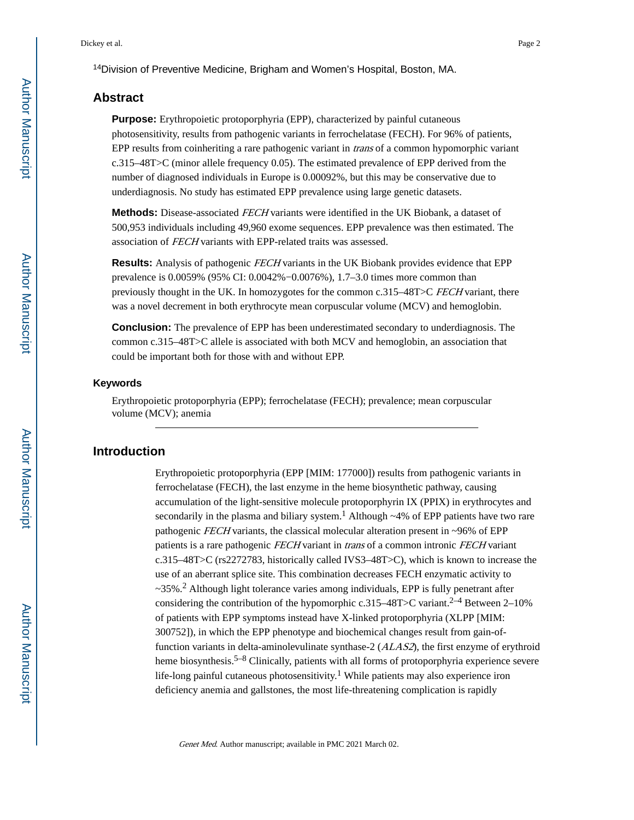## **Abstract**

**Purpose:** Erythropoietic protoporphyria (EPP), characterized by painful cutaneous photosensitivity, results from pathogenic variants in ferrochelatase (FECH). For 96% of patients, EPP results from coinheriting a rare pathogenic variant in *trans* of a common hypomorphic variant c.315–48T>C (minor allele frequency 0.05). The estimated prevalence of EPP derived from the number of diagnosed individuals in Europe is 0.00092%, but this may be conservative due to underdiagnosis. No study has estimated EPP prevalence using large genetic datasets.

**Methods:** Disease-associated FECH variants were identified in the UK Biobank, a dataset of 500,953 individuals including 49,960 exome sequences. EPP prevalence was then estimated. The association of FECH variants with EPP-related traits was assessed.

**Results:** Analysis of pathogenic FECH variants in the UK Biobank provides evidence that EPP prevalence is 0.0059% (95% CI: 0.0042%−0.0076%), 1.7–3.0 times more common than previously thought in the UK. In homozygotes for the common c.315–48T>C FECH variant, there was a novel decrement in both erythrocyte mean corpuscular volume (MCV) and hemoglobin.

**Conclusion:** The prevalence of EPP has been underestimated secondary to underdiagnosis. The common c.315–48T>C allele is associated with both MCV and hemoglobin, an association that could be important both for those with and without EPP.

#### **Keywords**

Erythropoietic protoporphyria (EPP); ferrochelatase (FECH); prevalence; mean corpuscular volume (MCV); anemia

## **Introduction**

Erythropoietic protoporphyria (EPP [MIM: 177000]) results from pathogenic variants in ferrochelatase (FECH), the last enzyme in the heme biosynthetic pathway, causing accumulation of the light-sensitive molecule protoporphyrin IX (PPIX) in erythrocytes and secondarily in the plasma and biliary system.<sup>1</sup> Although  $\sim$ 4% of EPP patients have two rare pathogenic FECH variants, the classical molecular alteration present in ~96% of EPP patients is a rare pathogenic FECH variant in trans of a common intronic FECH variant c.315–48T>C (rs2272783, historically called IVS3–48T>C), which is known to increase the use of an aberrant splice site. This combination decreases FECH enzymatic activity to ~35%.<sup>2</sup> Although light tolerance varies among individuals, EPP is fully penetrant after considering the contribution of the hypomorphic c.315–48T>C variant.<sup>2–4</sup> Between 2–10% of patients with EPP symptoms instead have X-linked protoporphyria (XLPP [MIM: 300752]), in which the EPP phenotype and biochemical changes result from gain-offunction variants in delta-aminolevulinate synthase-2 (ALAS2), the first enzyme of erythroid heme biosynthesis.<sup>5–8</sup> Clinically, patients with all forms of protoporphyria experience severe life-long painful cutaneous photosensitivity.<sup>1</sup> While patients may also experience iron deficiency anemia and gallstones, the most life-threatening complication is rapidly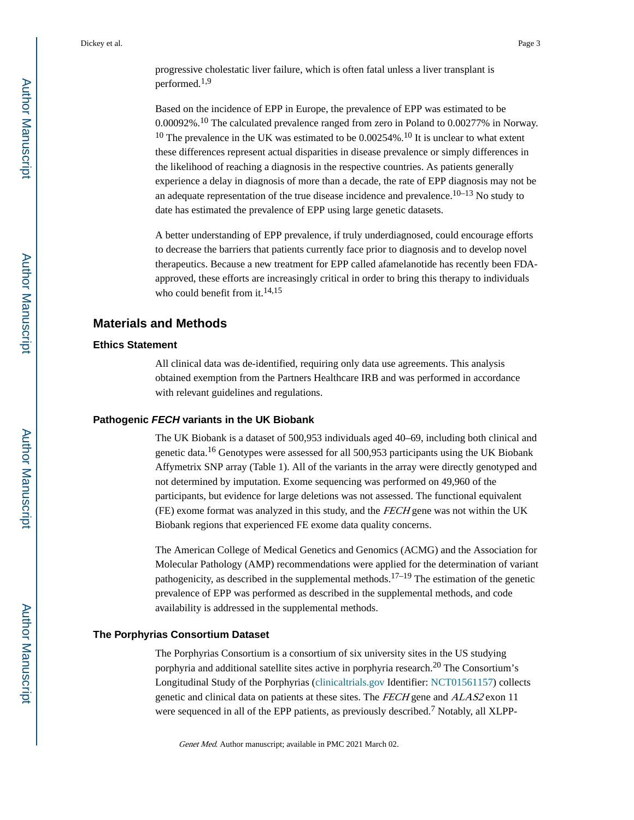Based on the incidence of EPP in Europe, the prevalence of EPP was estimated to be 0.00092%.10 The calculated prevalence ranged from zero in Poland to 0.00277% in Norway. <sup>10</sup> The prevalence in the UK was estimated to be  $0.00254\%$ .<sup>10</sup> It is unclear to what extent these differences represent actual disparities in disease prevalence or simply differences in the likelihood of reaching a diagnosis in the respective countries. As patients generally experience a delay in diagnosis of more than a decade, the rate of EPP diagnosis may not be an adequate representation of the true disease incidence and prevalence.<sup>10–13</sup> No study to date has estimated the prevalence of EPP using large genetic datasets.

A better understanding of EPP prevalence, if truly underdiagnosed, could encourage efforts to decrease the barriers that patients currently face prior to diagnosis and to develop novel therapeutics. Because a new treatment for EPP called afamelanotide has recently been FDAapproved, these efforts are increasingly critical in order to bring this therapy to individuals who could benefit from it.<sup>14,15</sup>

## **Materials and Methods**

#### **Ethics Statement**

All clinical data was de-identified, requiring only data use agreements. This analysis obtained exemption from the Partners Healthcare IRB and was performed in accordance with relevant guidelines and regulations.

#### **Pathogenic FECH variants in the UK Biobank**

The UK Biobank is a dataset of 500,953 individuals aged 40–69, including both clinical and genetic data.16 Genotypes were assessed for all 500,953 participants using the UK Biobank Affymetrix SNP array (Table 1). All of the variants in the array were directly genotyped and not determined by imputation. Exome sequencing was performed on 49,960 of the participants, but evidence for large deletions was not assessed. The functional equivalent (FE) exome format was analyzed in this study, and the FECH gene was not within the UK Biobank regions that experienced FE exome data quality concerns.

The American College of Medical Genetics and Genomics (ACMG) and the Association for Molecular Pathology (AMP) recommendations were applied for the determination of variant pathogenicity, as described in the supplemental methods.<sup>17–19</sup> The estimation of the genetic prevalence of EPP was performed as described in the supplemental methods, and code availability is addressed in the supplemental methods.

#### **The Porphyrias Consortium Dataset**

The Porphyrias Consortium is a consortium of six university sites in the US studying porphyria and additional satellite sites active in porphyria research.20 The Consortium's Longitudinal Study of the Porphyrias ([clinicaltrials.gov](http://clinicaltrials.gov) Identifier: [NCT01561157](https://clinicaltrials.gov/ct2/show/NCT01561157)) collects genetic and clinical data on patients at these sites. The FECH gene and ALAS2 exon 11 were sequenced in all of the EPP patients, as previously described.<sup>7</sup> Notably, all XLPP-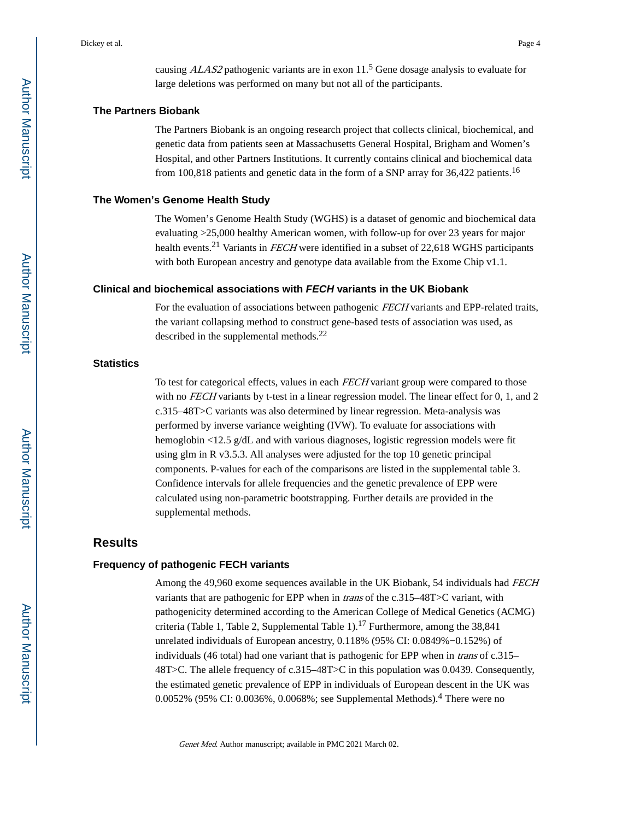#### **The Partners Biobank**

The Partners Biobank is an ongoing research project that collects clinical, biochemical, and genetic data from patients seen at Massachusetts General Hospital, Brigham and Women's Hospital, and other Partners Institutions. It currently contains clinical and biochemical data from 100,818 patients and genetic data in the form of a SNP array for 36,422 patients.<sup>16</sup>

#### **The Women's Genome Health Study**

The Women's Genome Health Study (WGHS) is a dataset of genomic and biochemical data evaluating >25,000 healthy American women, with follow-up for over 23 years for major health events.<sup>21</sup> Variants in *FECH* were identified in a subset of 22,618 WGHS participants with both European ancestry and genotype data available from the Exome Chip v1.1.

#### **Clinical and biochemical associations with FECH variants in the UK Biobank**

For the evaluation of associations between pathogenic FECH variants and EPP-related traits, the variant collapsing method to construct gene-based tests of association was used, as described in the supplemental methods.<sup>22</sup>

#### **Statistics**

To test for categorical effects, values in each *FECH* variant group were compared to those with no *FECH* variants by t-test in a linear regression model. The linear effect for 0, 1, and 2 c.315–48T>C variants was also determined by linear regression. Meta-analysis was performed by inverse variance weighting (IVW). To evaluate for associations with hemoglobin <12.5 g/dL and with various diagnoses, logistic regression models were fit using glm in R v3.5.3. All analyses were adjusted for the top 10 genetic principal components. P-values for each of the comparisons are listed in the supplemental table 3. Confidence intervals for allele frequencies and the genetic prevalence of EPP were calculated using non-parametric bootstrapping. Further details are provided in the supplemental methods.

## **Results**

#### **Frequency of pathogenic FECH variants**

Among the 49,960 exome sequences available in the UK Biobank, 54 individuals had FECH variants that are pathogenic for EPP when in *trans* of the c.315–48T>C variant, with pathogenicity determined according to the American College of Medical Genetics (ACMG) criteria (Table 1, Table 2, Supplemental Table 1).<sup>17</sup> Furthermore, among the  $38,841$ unrelated individuals of European ancestry, 0.118% (95% CI: 0.0849%−0.152%) of individuals (46 total) had one variant that is pathogenic for EPP when in trans of c.315– 48T>C. The allele frequency of c.315–48T>C in this population was 0.0439. Consequently, the estimated genetic prevalence of EPP in individuals of European descent in the UK was 0.0052% (95% CI: 0.0036%, 0.0068%; see Supplemental Methods).<sup>4</sup> There were no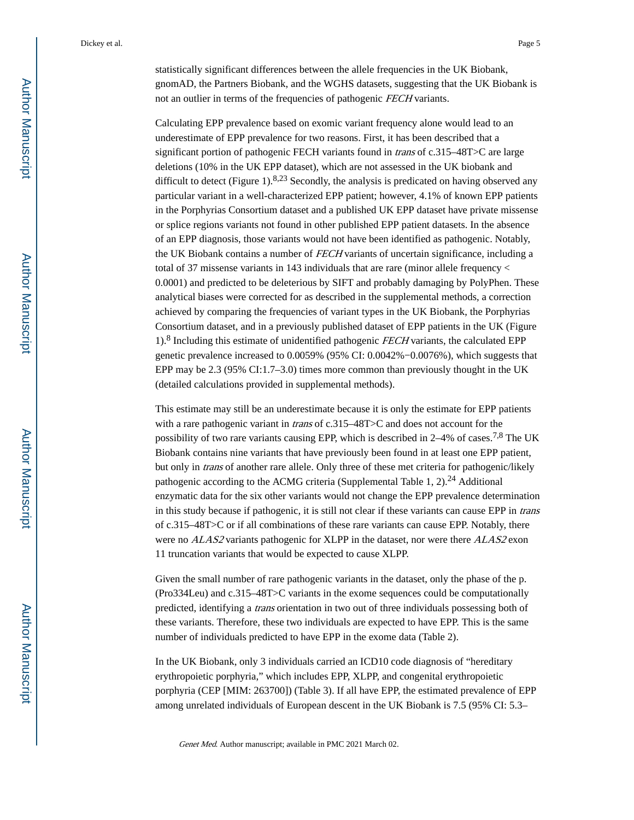statistically significant differences between the allele frequencies in the UK Biobank, gnomAD, the Partners Biobank, and the WGHS datasets, suggesting that the UK Biobank is not an outlier in terms of the frequencies of pathogenic FECH variants.

Calculating EPP prevalence based on exomic variant frequency alone would lead to an underestimate of EPP prevalence for two reasons. First, it has been described that a significant portion of pathogenic FECH variants found in *trans* of c.315–48T>C are large deletions (10% in the UK EPP dataset), which are not assessed in the UK biobank and difficult to detect (Figure 1).<sup>8,23</sup> Secondly, the analysis is predicated on having observed any particular variant in a well-characterized EPP patient; however, 4.1% of known EPP patients in the Porphyrias Consortium dataset and a published UK EPP dataset have private missense or splice regions variants not found in other published EPP patient datasets. In the absence of an EPP diagnosis, those variants would not have been identified as pathogenic. Notably, the UK Biobank contains a number of FECH variants of uncertain significance, including a total of 37 missense variants in 143 individuals that are rare (minor allele frequency < 0.0001) and predicted to be deleterious by SIFT and probably damaging by PolyPhen. These analytical biases were corrected for as described in the supplemental methods, a correction achieved by comparing the frequencies of variant types in the UK Biobank, the Porphyrias Consortium dataset, and in a previously published dataset of EPP patients in the UK (Figure 1).<sup>8</sup> Including this estimate of unidentified pathogenic FECH variants, the calculated EPP genetic prevalence increased to 0.0059% (95% CI: 0.0042%−0.0076%), which suggests that EPP may be 2.3 (95% CI:1.7–3.0) times more common than previously thought in the UK (detailed calculations provided in supplemental methods).

This estimate may still be an underestimate because it is only the estimate for EPP patients with a rare pathogenic variant in *trans* of c.315–48T > C and does not account for the possibility of two rare variants causing EPP, which is described in 2–4% of cases.<sup>7,8</sup> The UK Biobank contains nine variants that have previously been found in at least one EPP patient, but only in trans of another rare allele. Only three of these met criteria for pathogenic/likely pathogenic according to the ACMG criteria (Supplemental Table 1, 2).<sup>24</sup> Additional enzymatic data for the six other variants would not change the EPP prevalence determination in this study because if pathogenic, it is still not clear if these variants can cause EPP in *trans* of c.315–48T>C or if all combinations of these rare variants can cause EPP. Notably, there were no ALAS2 variants pathogenic for XLPP in the dataset, nor were there ALAS2 exon 11 truncation variants that would be expected to cause XLPP.

Given the small number of rare pathogenic variants in the dataset, only the phase of the p. (Pro334Leu) and c.315–48T>C variants in the exome sequences could be computationally predicted, identifying a trans orientation in two out of three individuals possessing both of these variants. Therefore, these two individuals are expected to have EPP. This is the same number of individuals predicted to have EPP in the exome data (Table 2).

In the UK Biobank, only 3 individuals carried an ICD10 code diagnosis of "hereditary erythropoietic porphyria," which includes EPP, XLPP, and congenital erythropoietic porphyria (CEP [MIM: 263700]) (Table 3). If all have EPP, the estimated prevalence of EPP among unrelated individuals of European descent in the UK Biobank is 7.5 (95% CI: 5.3–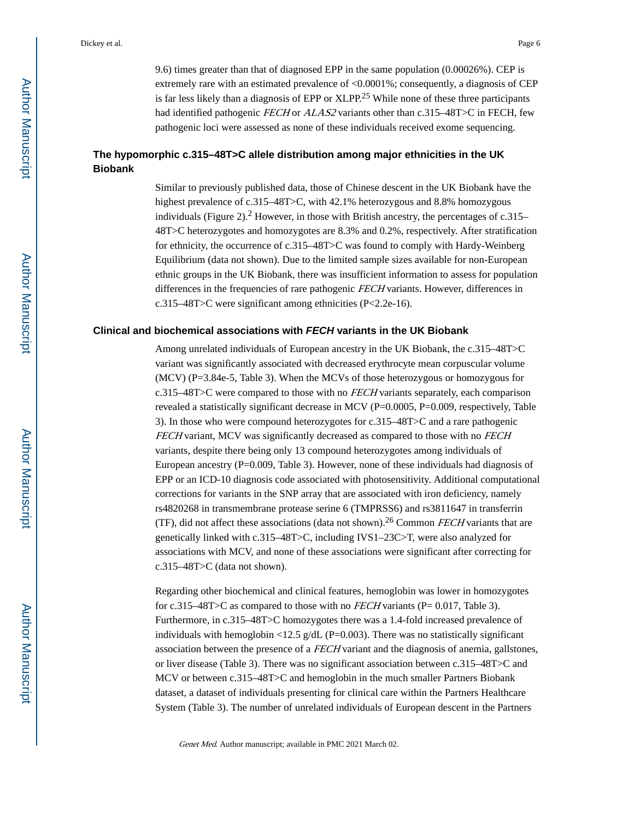9.6) times greater than that of diagnosed EPP in the same population (0.00026%). CEP is extremely rare with an estimated prevalence of <0.0001%; consequently, a diagnosis of CEP is far less likely than a diagnosis of EPP or XLPP.25 While none of these three participants had identified pathogenic FECH or ALAS2 variants other than c.315-48T>C in FECH, few pathogenic loci were assessed as none of these individuals received exome sequencing.

## **The hypomorphic c.315–48T>C allele distribution among major ethnicities in the UK Biobank**

Similar to previously published data, those of Chinese descent in the UK Biobank have the highest prevalence of c.315–48T>C, with 42.1% heterozygous and 8.8% homozygous individuals (Figure 2).<sup>2</sup> However, in those with British ancestry, the percentages of c.315– 48T>C heterozygotes and homozygotes are 8.3% and 0.2%, respectively. After stratification for ethnicity, the occurrence of c.315–48T>C was found to comply with Hardy-Weinberg Equilibrium (data not shown). Due to the limited sample sizes available for non-European ethnic groups in the UK Biobank, there was insufficient information to assess for population differences in the frequencies of rare pathogenic FECH variants. However, differences in c.315–48T>C were significant among ethnicities (P<2.2e-16).

#### **Clinical and biochemical associations with FECH variants in the UK Biobank**

Among unrelated individuals of European ancestry in the UK Biobank, the c.315–48T>C variant was significantly associated with decreased erythrocyte mean corpuscular volume (MCV) (P=3.84e-5, Table 3). When the MCVs of those heterozygous or homozygous for c.315–48T>C were compared to those with no FECH variants separately, each comparison revealed a statistically significant decrease in MCV ( $P=0.0005$ ,  $P=0.009$ , respectively, Table 3). In those who were compound heterozygotes for c.315–48T>C and a rare pathogenic FECH variant, MCV was significantly decreased as compared to those with no FECH variants, despite there being only 13 compound heterozygotes among individuals of European ancestry (P=0.009, Table 3). However, none of these individuals had diagnosis of EPP or an ICD-10 diagnosis code associated with photosensitivity. Additional computational corrections for variants in the SNP array that are associated with iron deficiency, namely rs4820268 in transmembrane protease serine 6 (TMPRSS6) and rs3811647 in transferrin (TF), did not affect these associations (data not shown).<sup>26</sup> Common FECH variants that are genetically linked with c.315–48T>C, including IVS1–23C>T, were also analyzed for associations with MCV, and none of these associations were significant after correcting for c.315–48T>C (data not shown).

Regarding other biochemical and clinical features, hemoglobin was lower in homozygotes for c.315–48T>C as compared to those with no *FECH* variants (P=  $0.017$ , Table 3). Furthermore, in c.315–48T>C homozygotes there was a 1.4-fold increased prevalence of individuals with hemoglobin  $\langle 12.5 \text{ g/dL} \rangle$  (P=0.003). There was no statistically significant association between the presence of a FECH variant and the diagnosis of anemia, gallstones, or liver disease (Table 3). There was no significant association between c.315–48T>C and MCV or between c.315–48T>C and hemoglobin in the much smaller Partners Biobank dataset, a dataset of individuals presenting for clinical care within the Partners Healthcare System (Table 3). The number of unrelated individuals of European descent in the Partners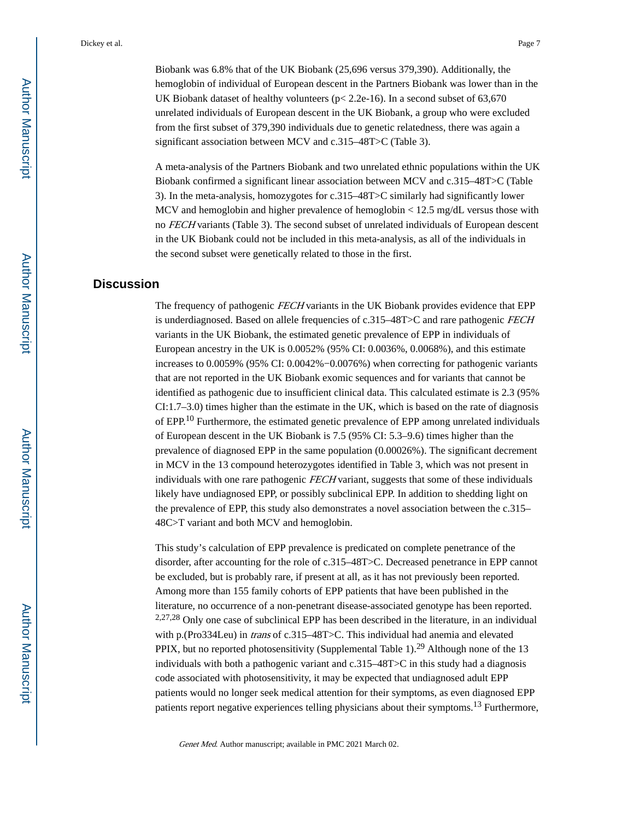Biobank was 6.8% that of the UK Biobank (25,696 versus 379,390). Additionally, the hemoglobin of individual of European descent in the Partners Biobank was lower than in the UK Biobank dataset of healthy volunteers (p< 2.2e-16). In a second subset of 63,670 unrelated individuals of European descent in the UK Biobank, a group who were excluded from the first subset of 379,390 individuals due to genetic relatedness, there was again a significant association between MCV and c.315–48T>C (Table 3).

A meta-analysis of the Partners Biobank and two unrelated ethnic populations within the UK Biobank confirmed a significant linear association between MCV and c.315–48T>C (Table 3). In the meta-analysis, homozygotes for c.315–48T>C similarly had significantly lower MCV and hemoglobin and higher prevalence of hemoglobin < 12.5 mg/dL versus those with no FECH variants (Table 3). The second subset of unrelated individuals of European descent in the UK Biobank could not be included in this meta-analysis, as all of the individuals in the second subset were genetically related to those in the first.

## **Discussion**

The frequency of pathogenic FECH variants in the UK Biobank provides evidence that EPP is underdiagnosed. Based on allele frequencies of  $c.315-48T>C$  and rare pathogenic FECH variants in the UK Biobank, the estimated genetic prevalence of EPP in individuals of European ancestry in the UK is 0.0052% (95% CI: 0.0036%, 0.0068%), and this estimate increases to 0.0059% (95% CI: 0.0042%−0.0076%) when correcting for pathogenic variants that are not reported in the UK Biobank exomic sequences and for variants that cannot be identified as pathogenic due to insufficient clinical data. This calculated estimate is 2.3 (95% CI:1.7–3.0) times higher than the estimate in the UK, which is based on the rate of diagnosis of EPP.10 Furthermore, the estimated genetic prevalence of EPP among unrelated individuals of European descent in the UK Biobank is 7.5 (95% CI: 5.3–9.6) times higher than the prevalence of diagnosed EPP in the same population (0.00026%). The significant decrement in MCV in the 13 compound heterozygotes identified in Table 3, which was not present in individuals with one rare pathogenic FECH variant, suggests that some of these individuals likely have undiagnosed EPP, or possibly subclinical EPP. In addition to shedding light on the prevalence of EPP, this study also demonstrates a novel association between the c.315– 48C>T variant and both MCV and hemoglobin.

This study's calculation of EPP prevalence is predicated on complete penetrance of the disorder, after accounting for the role of c.315–48T>C. Decreased penetrance in EPP cannot be excluded, but is probably rare, if present at all, as it has not previously been reported. Among more than 155 family cohorts of EPP patients that have been published in the literature, no occurrence of a non-penetrant disease-associated genotype has been reported. 2,27,28 Only one case of subclinical EPP has been described in the literature, in an individual with p.(Pro334Leu) in *trans* of c.315–48T>C. This individual had anemia and elevated PPIX, but no reported photosensitivity (Supplemental Table 1).<sup>29</sup> Although none of the 13 individuals with both a pathogenic variant and c.315–48T>C in this study had a diagnosis code associated with photosensitivity, it may be expected that undiagnosed adult EPP patients would no longer seek medical attention for their symptoms, as even diagnosed EPP patients report negative experiences telling physicians about their symptoms.13 Furthermore,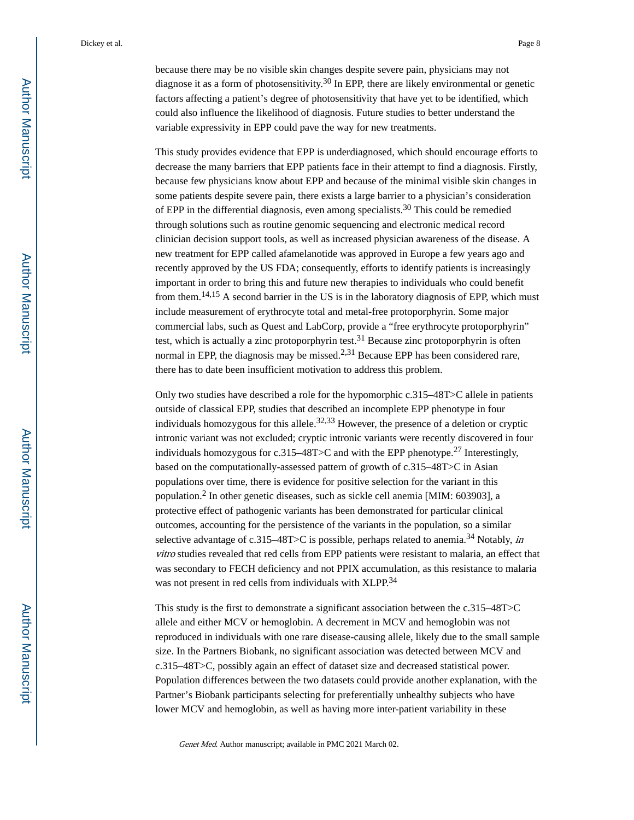because there may be no visible skin changes despite severe pain, physicians may not diagnose it as a form of photosensitivity.<sup>30</sup> In EPP, there are likely environmental or genetic factors affecting a patient's degree of photosensitivity that have yet to be identified, which could also influence the likelihood of diagnosis. Future studies to better understand the variable expressivity in EPP could pave the way for new treatments.

This study provides evidence that EPP is underdiagnosed, which should encourage efforts to decrease the many barriers that EPP patients face in their attempt to find a diagnosis. Firstly, because few physicians know about EPP and because of the minimal visible skin changes in some patients despite severe pain, there exists a large barrier to a physician's consideration of EPP in the differential diagnosis, even among specialists.<sup>30</sup> This could be remedied through solutions such as routine genomic sequencing and electronic medical record clinician decision support tools, as well as increased physician awareness of the disease. A new treatment for EPP called afamelanotide was approved in Europe a few years ago and recently approved by the US FDA; consequently, efforts to identify patients is increasingly important in order to bring this and future new therapies to individuals who could benefit from them.14,15 A second barrier in the US is in the laboratory diagnosis of EPP, which must include measurement of erythrocyte total and metal-free protoporphyrin. Some major commercial labs, such as Quest and LabCorp, provide a "free erythrocyte protoporphyrin" test, which is actually a zinc protoporphyrin test.<sup>31</sup> Because zinc protoporphyrin is often normal in EPP, the diagnosis may be missed.<sup>2,31</sup> Because EPP has been considered rare, there has to date been insufficient motivation to address this problem.

Only two studies have described a role for the hypomorphic c.315–48T>C allele in patients outside of classical EPP, studies that described an incomplete EPP phenotype in four individuals homozygous for this allele.<sup>32,33</sup> However, the presence of a deletion or cryptic intronic variant was not excluded; cryptic intronic variants were recently discovered in four individuals homozygous for c.315–48T>C and with the EPP phenotype.<sup>27</sup> Interestingly, based on the computationally-assessed pattern of growth of c.315–48T>C in Asian populations over time, there is evidence for positive selection for the variant in this population.<sup>2</sup> In other genetic diseases, such as sickle cell anemia [MIM: 603903], a protective effect of pathogenic variants has been demonstrated for particular clinical outcomes, accounting for the persistence of the variants in the population, so a similar selective advantage of c.315–48T>C is possible, perhaps related to anemia.<sup>34</sup> Notably, in vitro studies revealed that red cells from EPP patients were resistant to malaria, an effect that was secondary to FECH deficiency and not PPIX accumulation, as this resistance to malaria was not present in red cells from individuals with XLPP.<sup>34</sup>

This study is the first to demonstrate a significant association between the c.315–48T>C allele and either MCV or hemoglobin. A decrement in MCV and hemoglobin was not reproduced in individuals with one rare disease-causing allele, likely due to the small sample size. In the Partners Biobank, no significant association was detected between MCV and c.315–48T>C, possibly again an effect of dataset size and decreased statistical power. Population differences between the two datasets could provide another explanation, with the Partner's Biobank participants selecting for preferentially unhealthy subjects who have lower MCV and hemoglobin, as well as having more inter-patient variability in these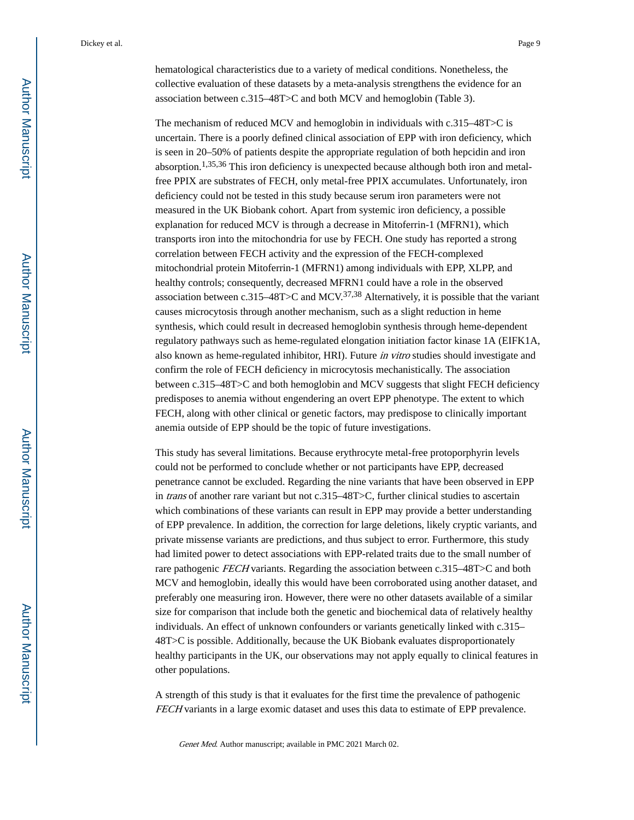hematological characteristics due to a variety of medical conditions. Nonetheless, the collective evaluation of these datasets by a meta-analysis strengthens the evidence for an association between c.315–48T>C and both MCV and hemoglobin (Table 3).

The mechanism of reduced MCV and hemoglobin in individuals with c.315–48T>C is uncertain. There is a poorly defined clinical association of EPP with iron deficiency, which is seen in 20–50% of patients despite the appropriate regulation of both hepcidin and iron absorption.1,35,36 This iron deficiency is unexpected because although both iron and metalfree PPIX are substrates of FECH, only metal-free PPIX accumulates. Unfortunately, iron deficiency could not be tested in this study because serum iron parameters were not measured in the UK Biobank cohort. Apart from systemic iron deficiency, a possible explanation for reduced MCV is through a decrease in Mitoferrin-1 (MFRN1), which transports iron into the mitochondria for use by FECH. One study has reported a strong correlation between FECH activity and the expression of the FECH-complexed mitochondrial protein Mitoferrin-1 (MFRN1) among individuals with EPP, XLPP, and healthy controls; consequently, decreased MFRN1 could have a role in the observed association between c.315–48T>C and MCV.<sup>37,38</sup> Alternatively, it is possible that the variant causes microcytosis through another mechanism, such as a slight reduction in heme synthesis, which could result in decreased hemoglobin synthesis through heme-dependent regulatory pathways such as heme-regulated elongation initiation factor kinase 1A (EIFK1A, also known as heme-regulated inhibitor, HRI). Future in vitro studies should investigate and confirm the role of FECH deficiency in microcytosis mechanistically. The association between c.315–48T>C and both hemoglobin and MCV suggests that slight FECH deficiency predisposes to anemia without engendering an overt EPP phenotype. The extent to which FECH, along with other clinical or genetic factors, may predispose to clinically important anemia outside of EPP should be the topic of future investigations.

This study has several limitations. Because erythrocyte metal-free protoporphyrin levels could not be performed to conclude whether or not participants have EPP, decreased penetrance cannot be excluded. Regarding the nine variants that have been observed in EPP in trans of another rare variant but not c.315–48T>C, further clinical studies to ascertain which combinations of these variants can result in EPP may provide a better understanding of EPP prevalence. In addition, the correction for large deletions, likely cryptic variants, and private missense variants are predictions, and thus subject to error. Furthermore, this study had limited power to detect associations with EPP-related traits due to the small number of rare pathogenic FECH variants. Regarding the association between c.315–48T>C and both MCV and hemoglobin, ideally this would have been corroborated using another dataset, and preferably one measuring iron. However, there were no other datasets available of a similar size for comparison that include both the genetic and biochemical data of relatively healthy individuals. An effect of unknown confounders or variants genetically linked with c.315– 48T>C is possible. Additionally, because the UK Biobank evaluates disproportionately healthy participants in the UK, our observations may not apply equally to clinical features in other populations.

A strength of this study is that it evaluates for the first time the prevalence of pathogenic FECH variants in a large exomic dataset and uses this data to estimate of EPP prevalence.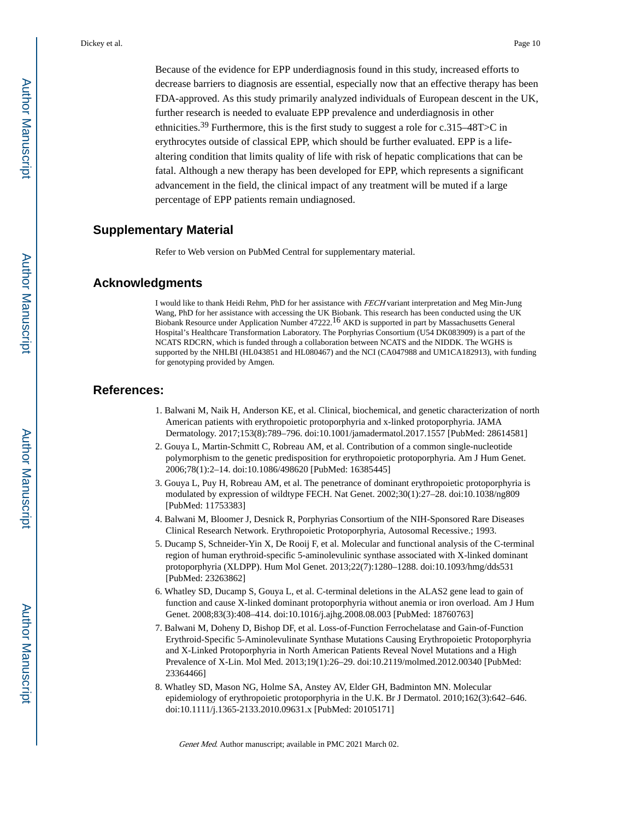Because of the evidence for EPP underdiagnosis found in this study, increased efforts to decrease barriers to diagnosis are essential, especially now that an effective therapy has been FDA-approved. As this study primarily analyzed individuals of European descent in the UK, further research is needed to evaluate EPP prevalence and underdiagnosis in other ethnicities.<sup>39</sup> Furthermore, this is the first study to suggest a role for c.315–48T $>$ C in erythrocytes outside of classical EPP, which should be further evaluated. EPP is a lifealtering condition that limits quality of life with risk of hepatic complications that can be fatal. Although a new therapy has been developed for EPP, which represents a significant advancement in the field, the clinical impact of any treatment will be muted if a large percentage of EPP patients remain undiagnosed.

## **Supplementary Material**

Refer to Web version on PubMed Central for supplementary material.

## **Acknowledgments**

I would like to thank Heidi Rehm, PhD for her assistance with FECH variant interpretation and Meg Min-Jung Wang, PhD for her assistance with accessing the UK Biobank. This research has been conducted using the UK Biobank Resource under Application Number 47222.<sup>16</sup> AKD is supported in part by Massachusetts General Hospital's Healthcare Transformation Laboratory. The Porphyrias Consortium (U54 DK083909) is a part of the NCATS RDCRN, which is funded through a collaboration between NCATS and the NIDDK. The WGHS is supported by the NHLBI (HL043851 and HL080467) and the NCI (CA047988 and UM1CA182913), with funding for genotyping provided by Amgen.

## **References:**

- 1. Balwani M, Naik H, Anderson KE, et al. Clinical, biochemical, and genetic characterization of north American patients with erythropoietic protoporphyria and x-linked protoporphyria. JAMA Dermatology. 2017;153(8):789–796. doi:10.1001/jamadermatol.2017.1557 [PubMed: 28614581]
- 2. Gouya L, Martin-Schmitt C, Robreau AM, et al. Contribution of a common single-nucleotide polymorphism to the genetic predisposition for erythropoietic protoporphyria. Am J Hum Genet. 2006;78(1):2–14. doi:10.1086/498620 [PubMed: 16385445]
- 3. Gouya L, Puy H, Robreau AM, et al. The penetrance of dominant erythropoietic protoporphyria is modulated by expression of wildtype FECH. Nat Genet. 2002;30(1):27–28. doi:10.1038/ng809 [PubMed: 11753383]
- 4. Balwani M, Bloomer J, Desnick R, Porphyrias Consortium of the NIH-Sponsored Rare Diseases Clinical Research Network. Erythropoietic Protoporphyria, Autosomal Recessive.; 1993.
- 5. Ducamp S, Schneider-Yin X, De Rooij F, et al. Molecular and functional analysis of the C-terminal region of human erythroid-specific 5-aminolevulinic synthase associated with X-linked dominant protoporphyria (XLDPP). Hum Mol Genet. 2013;22(7):1280–1288. doi:10.1093/hmg/dds531 [PubMed: 23263862]
- 6. Whatley SD, Ducamp S, Gouya L, et al. C-terminal deletions in the ALAS2 gene lead to gain of function and cause X-linked dominant protoporphyria without anemia or iron overload. Am J Hum Genet. 2008;83(3):408–414. doi:10.1016/j.ajhg.2008.08.003 [PubMed: 18760763]
- 7. Balwani M, Doheny D, Bishop DF, et al. Loss-of-Function Ferrochelatase and Gain-of-Function Erythroid-Specific 5-Aminolevulinate Synthase Mutations Causing Erythropoietic Protoporphyria and X-Linked Protoporphyria in North American Patients Reveal Novel Mutations and a High Prevalence of X-Lin. Mol Med. 2013;19(1):26–29. doi:10.2119/molmed.2012.00340 [PubMed: 23364466]
- 8. Whatley SD, Mason NG, Holme SA, Anstey AV, Elder GH, Badminton MN. Molecular epidemiology of erythropoietic protoporphyria in the U.K. Br J Dermatol. 2010;162(3):642–646. doi:10.1111/j.1365-2133.2010.09631.x [PubMed: 20105171]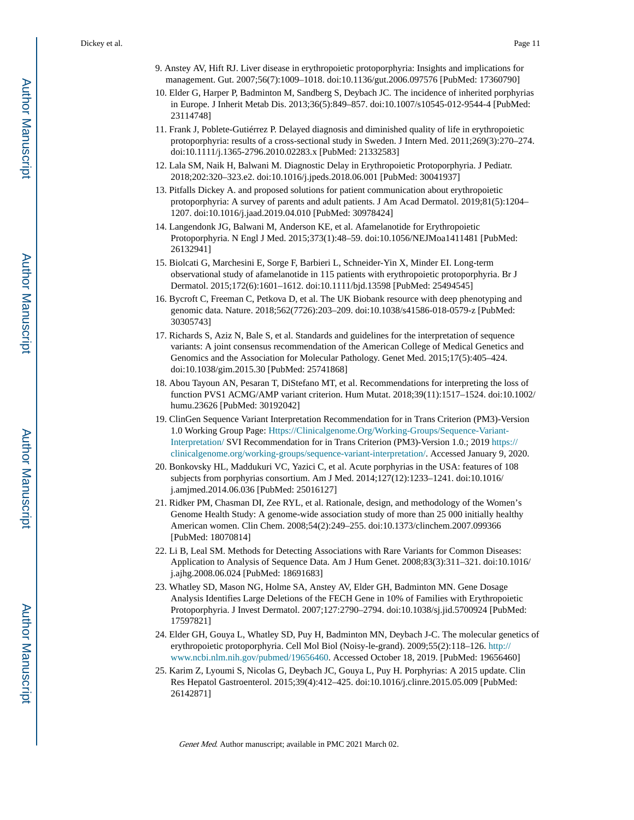- 9. Anstey AV, Hift RJ. Liver disease in erythropoietic protoporphyria: Insights and implications for management. Gut. 2007;56(7):1009–1018. doi:10.1136/gut.2006.097576 [PubMed: 17360790]
- 10. Elder G, Harper P, Badminton M, Sandberg S, Deybach JC. The incidence of inherited porphyrias in Europe. J Inherit Metab Dis. 2013;36(5):849–857. doi:10.1007/s10545-012-9544-4 [PubMed: 23114748]
- 11. Frank J, Poblete-Gutiérrez P. Delayed diagnosis and diminished quality of life in erythropoietic protoporphyria: results of a cross-sectional study in Sweden. J Intern Med. 2011;269(3):270–274. doi:10.1111/j.1365-2796.2010.02283.x [PubMed: 21332583]
- 12. Lala SM, Naik H, Balwani M. Diagnostic Delay in Erythropoietic Protoporphyria. J Pediatr. 2018;202:320–323.e2. doi:10.1016/j.jpeds.2018.06.001 [PubMed: 30041937]
- 13. Pitfalls Dickey A. and proposed solutions for patient communication about erythropoietic protoporphyria: A survey of parents and adult patients. J Am Acad Dermatol. 2019;81(5):1204– 1207. doi:10.1016/j.jaad.2019.04.010 [PubMed: 30978424]
- 14. Langendonk JG, Balwani M, Anderson KE, et al. Afamelanotide for Erythropoietic Protoporphyria. N Engl J Med. 2015;373(1):48–59. doi:10.1056/NEJMoa1411481 [PubMed: 26132941]
- 15. Biolcati G, Marchesini E, Sorge F, Barbieri L, Schneider-Yin X, Minder EI. Long-term observational study of afamelanotide in 115 patients with erythropoietic protoporphyria. Br J Dermatol. 2015;172(6):1601–1612. doi:10.1111/bjd.13598 [PubMed: 25494545]
- 16. Bycroft C, Freeman C, Petkova D, et al. The UK Biobank resource with deep phenotyping and genomic data. Nature. 2018;562(7726):203–209. doi:10.1038/s41586-018-0579-z [PubMed: 30305743]
- 17. Richards S, Aziz N, Bale S, et al. Standards and guidelines for the interpretation of sequence variants: A joint consensus recommendation of the American College of Medical Genetics and Genomics and the Association for Molecular Pathology. Genet Med. 2015;17(5):405–424. doi:10.1038/gim.2015.30 [PubMed: 25741868]
- 18. Abou Tayoun AN, Pesaran T, DiStefano MT, et al. Recommendations for interpreting the loss of function PVS1 ACMG/AMP variant criterion. Hum Mutat. 2018;39(11):1517–1524. doi:10.1002/ humu.23626 [PubMed: 30192042]
- 19. ClinGen Sequence Variant Interpretation Recommendation for in Trans Criterion (PM3)-Version 1.0 Working Group Page: [Https://Clinicalgenome.Org/Working-Groups/Sequence-Variant-](Https://clinicalgenome.org/working-groups/sequence-variant-interpretation/)[Interpretation/](Https://clinicalgenome.org/working-groups/sequence-variant-interpretation/) SVI Recommendation for in Trans Criterion (PM3)-Version 1.0.; 2019 [https://](https://clinicalgenome.org/working-groups/sequence-variant-interpretation/) [clinicalgenome.org/working-groups/sequence-variant-interpretation/](https://clinicalgenome.org/working-groups/sequence-variant-interpretation/). Accessed January 9, 2020.
- 20. Bonkovsky HL, Maddukuri VC, Yazici C, et al. Acute porphyrias in the USA: features of 108 subjects from porphyrias consortium. Am J Med. 2014;127(12):1233–1241. doi:10.1016/ j.amjmed.2014.06.036 [PubMed: 25016127]
- 21. Ridker PM, Chasman DI, Zee RYL, et al. Rationale, design, and methodology of the Women's Genome Health Study: A genome-wide association study of more than 25 000 initially healthy American women. Clin Chem. 2008;54(2):249–255. doi:10.1373/clinchem.2007.099366 [PubMed: 18070814]
- 22. Li B, Leal SM. Methods for Detecting Associations with Rare Variants for Common Diseases: Application to Analysis of Sequence Data. Am J Hum Genet. 2008;83(3):311–321. doi:10.1016/ j.ajhg.2008.06.024 [PubMed: 18691683]
- 23. Whatley SD, Mason NG, Holme SA, Anstey AV, Elder GH, Badminton MN. Gene Dosage Analysis Identifies Large Deletions of the FECH Gene in 10% of Families with Erythropoietic Protoporphyria. J Invest Dermatol. 2007;127:2790–2794. doi:10.1038/sj.jid.5700924 [PubMed: 17597821]
- 24. Elder GH, Gouya L, Whatley SD, Puy H, Badminton MN, Deybach J-C. The molecular genetics of erythropoietic protoporphyria. Cell Mol Biol (Noisy-le-grand). 2009;55(2):118–126. [http://](http://www.ncbi.nlm.nih.gov/pubmed/19656460) [www.ncbi.nlm.nih.gov/pubmed/19656460](http://www.ncbi.nlm.nih.gov/pubmed/19656460). Accessed October 18, 2019. [PubMed: 19656460]
- 25. Karim Z, Lyoumi S, Nicolas G, Deybach JC, Gouya L, Puy H. Porphyrias: A 2015 update. Clin Res Hepatol Gastroenterol. 2015;39(4):412–425. doi:10.1016/j.clinre.2015.05.009 [PubMed: 26142871]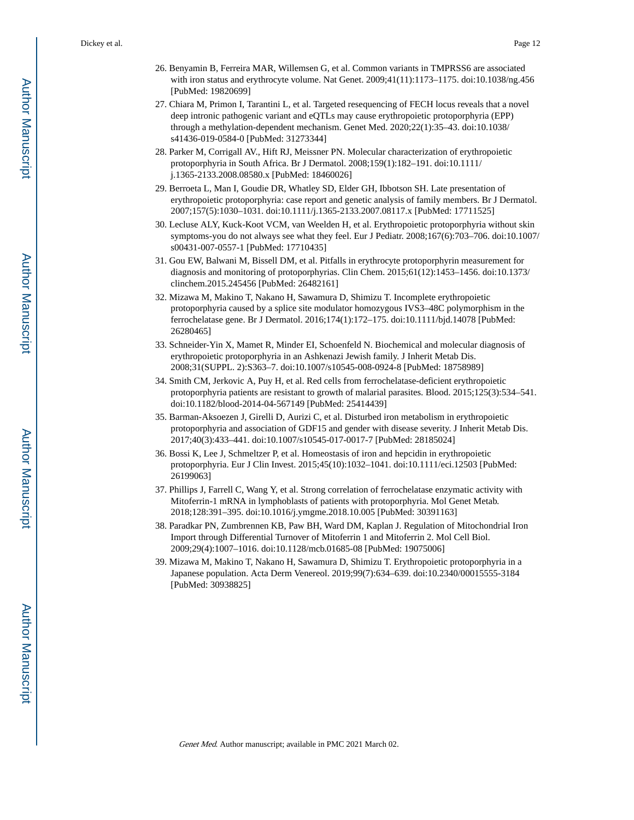- 26. Benyamin B, Ferreira MAR, Willemsen G, et al. Common variants in TMPRSS6 are associated with iron status and erythrocyte volume. Nat Genet. 2009;41(11):1173–1175. doi:10.1038/ng.456 [PubMed: 19820699]
- 27. Chiara M, Primon I, Tarantini L, et al. Targeted resequencing of FECH locus reveals that a novel deep intronic pathogenic variant and eQTLs may cause erythropoietic protoporphyria (EPP) through a methylation-dependent mechanism. Genet Med. 2020;22(1):35–43. doi:10.1038/ s41436-019-0584-0 [PubMed: 31273344]
- 28. Parker M, Corrigall AV., Hift RJ, Meissner PN. Molecular characterization of erythropoietic protoporphyria in South Africa. Br J Dermatol. 2008;159(1):182–191. doi:10.1111/ j.1365-2133.2008.08580.x [PubMed: 18460026]
- 29. Berroeta L, Man I, Goudie DR, Whatley SD, Elder GH, Ibbotson SH. Late presentation of erythropoietic protoporphyria: case report and genetic analysis of family members. Br J Dermatol. 2007;157(5):1030–1031. doi:10.1111/j.1365-2133.2007.08117.x [PubMed: 17711525]
- 30. Lecluse ALY, Kuck-Koot VCM, van Weelden H, et al. Erythropoietic protoporphyria without skin symptoms-you do not always see what they feel. Eur J Pediatr. 2008;167(6):703–706. doi:10.1007/ s00431-007-0557-1 [PubMed: 17710435]
- 31. Gou EW, Balwani M, Bissell DM, et al. Pitfalls in erythrocyte protoporphyrin measurement for diagnosis and monitoring of protoporphyrias. Clin Chem. 2015;61(12):1453–1456. doi:10.1373/ clinchem.2015.245456 [PubMed: 26482161]
- 32. Mizawa M, Makino T, Nakano H, Sawamura D, Shimizu T. Incomplete erythropoietic protoporphyria caused by a splice site modulator homozygous IVS3–48C polymorphism in the ferrochelatase gene. Br J Dermatol. 2016;174(1):172–175. doi:10.1111/bjd.14078 [PubMed: 26280465]
- 33. Schneider-Yin X, Mamet R, Minder EI, Schoenfeld N. Biochemical and molecular diagnosis of erythropoietic protoporphyria in an Ashkenazi Jewish family. J Inherit Metab Dis. 2008;31(SUPPL. 2):S363–7. doi:10.1007/s10545-008-0924-8 [PubMed: 18758989]
- 34. Smith CM, Jerkovic A, Puy H, et al. Red cells from ferrochelatase-deficient erythropoietic protoporphyria patients are resistant to growth of malarial parasites. Blood. 2015;125(3):534–541. doi:10.1182/blood-2014-04-567149 [PubMed: 25414439]
- 35. Barman-Aksoezen J, Girelli D, Aurizi C, et al. Disturbed iron metabolism in erythropoietic protoporphyria and association of GDF15 and gender with disease severity. J Inherit Metab Dis. 2017;40(3):433–441. doi:10.1007/s10545-017-0017-7 [PubMed: 28185024]
- 36. Bossi K, Lee J, Schmeltzer P, et al. Homeostasis of iron and hepcidin in erythropoietic protoporphyria. Eur J Clin Invest. 2015;45(10):1032–1041. doi:10.1111/eci.12503 [PubMed: 26199063]
- 37. Phillips J, Farrell C, Wang Y, et al. Strong correlation of ferrochelatase enzymatic activity with Mitoferrin-1 mRNA in lymphoblasts of patients with protoporphyria. Mol Genet Metab. 2018;128:391–395. doi:10.1016/j.ymgme.2018.10.005 [PubMed: 30391163]
- 38. Paradkar PN, Zumbrennen KB, Paw BH, Ward DM, Kaplan J. Regulation of Mitochondrial Iron Import through Differential Turnover of Mitoferrin 1 and Mitoferrin 2. Mol Cell Biol. 2009;29(4):1007–1016. doi:10.1128/mcb.01685-08 [PubMed: 19075006]
- 39. Mizawa M, Makino T, Nakano H, Sawamura D, Shimizu T. Erythropoietic protoporphyria in a Japanese population. Acta Derm Venereol. 2019;99(7):634–639. doi:10.2340/00015555-3184 [PubMed: 30938825]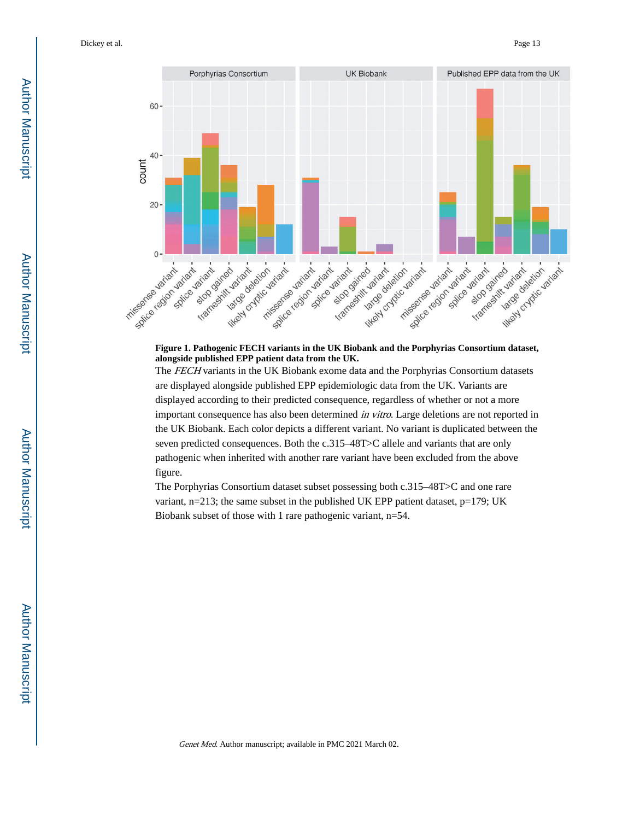Dickey et al. Page 13



## **Figure 1. Pathogenic FECH variants in the UK Biobank and the Porphyrias Consortium dataset, alongside published EPP patient data from the UK.**

The FECH variants in the UK Biobank exome data and the Porphyrias Consortium datasets are displayed alongside published EPP epidemiologic data from the UK. Variants are displayed according to their predicted consequence, regardless of whether or not a more important consequence has also been determined in vitro. Large deletions are not reported in the UK Biobank. Each color depicts a different variant. No variant is duplicated between the seven predicted consequences. Both the c.315–48T>C allele and variants that are only pathogenic when inherited with another rare variant have been excluded from the above figure.

The Porphyrias Consortium dataset subset possessing both c.315–48T>C and one rare variant, n=213; the same subset in the published UK EPP patient dataset, p=179; UK Biobank subset of those with 1 rare pathogenic variant, n=54.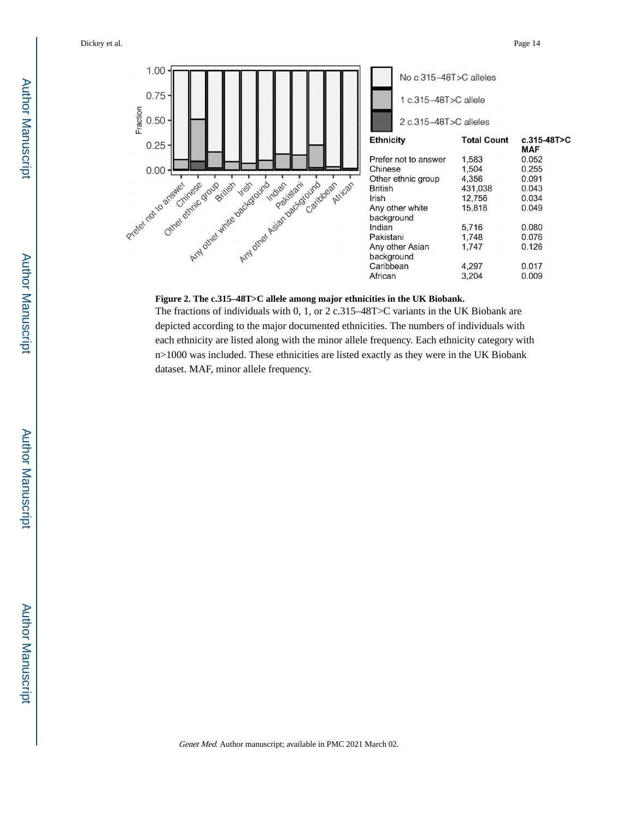

#### **Figure 2. The c.315–48T>C allele among major ethnicities in the UK Biobank.**

The fractions of individuals with 0, 1, or 2 c.315–48T>C variants in the UK Biobank are depicted according to the major documented ethnicities. The numbers of individuals with each ethnicity are listed along with the minor allele frequency. Each ethnicity category with n>1000 was included. These ethnicities are listed exactly as they were in the UK Biobank dataset. MAF, minor allele frequency.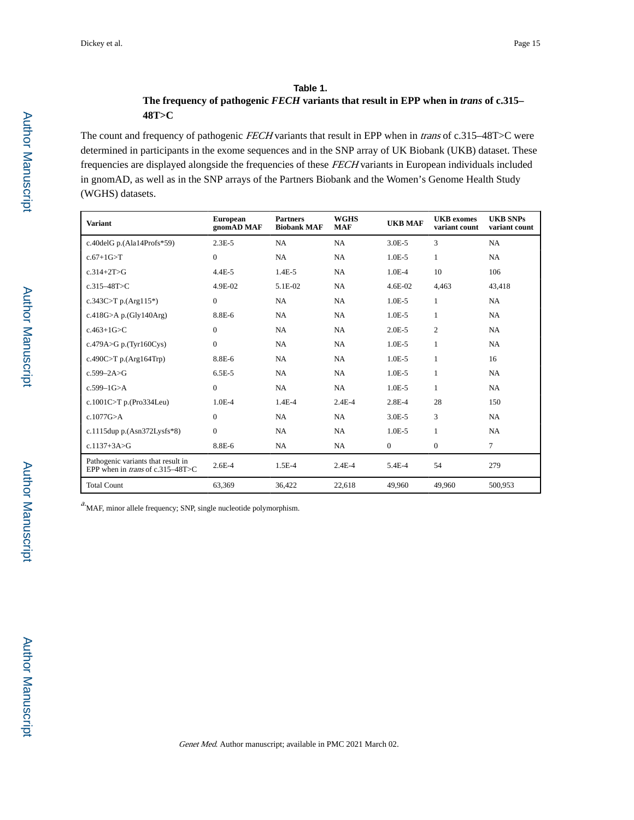#### **Table 1.**

## **The frequency of pathogenic** *FECH* **variants that result in EPP when in** *trans* **of c.315– 48T>C**

The count and frequency of pathogenic FECH variants that result in EPP when in trans of c.315-48T>C were determined in participants in the exome sequences and in the SNP array of UK Biobank (UKB) dataset. These frequencies are displayed alongside the frequencies of these FECH variants in European individuals included in gnomAD, as well as in the SNP arrays of the Partners Biobank and the Women's Genome Health Study (WGHS) datasets.

| <b>Variant</b>                                                                | <b>European</b><br>gnomAD MAF | <b>Partners</b><br><b>Biobank MAF</b> | <b>WGHS</b><br><b>MAF</b> | <b>UKB MAF</b> | <b>UKB</b> exomes<br>variant count | <b>UKB SNPs</b><br>variant count |
|-------------------------------------------------------------------------------|-------------------------------|---------------------------------------|---------------------------|----------------|------------------------------------|----------------------------------|
| c.40delG p. $(Ala14Profs*59)$                                                 | $2.3E-5$                      | NA                                    | NA                        | $3.0E-5$       | 3                                  | NA                               |
| $c.67+1G > T$                                                                 | $\overline{0}$                | NA                                    | NA                        | $1.0E-5$       | $\mathbf{1}$                       | NA                               |
| $c.314 + 2T > G$                                                              | $4.4E - 5$                    | $1.4E-5$                              | NA                        | $1.0E-4$       | 10                                 | 106                              |
| $c.315 - 48T > C$                                                             | 4.9E-02                       | 5.1E-02                               | NA                        | 4.6E-02        | 4,463                              | 43,418                           |
| c.343C>T p.(Arg115*)                                                          | $\mathbf{0}$                  | NA                                    | <b>NA</b>                 | $1.0E-5$       | $\mathbf{1}$                       | <b>NA</b>                        |
| c.418G>A p.(Gly140Arg)                                                        | 8.8E-6                        | NA                                    | NA                        | $1.0E-5$       | $\mathbf{1}$                       | NA                               |
| $c.463 + 1G > C$                                                              | $\overline{0}$                | NA                                    | NA                        | $2.0E - 5$     | $\overline{c}$                     | NA                               |
| c.479A>G p.(Tyr160Cys)                                                        | $\overline{0}$                | NA                                    | NA                        | $1.0E-5$       | $\mathbf{1}$                       | NA                               |
| c.490C>T p.(Arg164Trp)                                                        | 8.8E-6                        | <b>NA</b>                             | NA                        | $1.0E-5$       | 1                                  | 16                               |
| $c.599 - 2A > G$                                                              | $6.5E-5$                      | NA                                    | <b>NA</b>                 | $1.0E-5$       | 1                                  | NA                               |
| $c.599 - 1G > A$                                                              | $\overline{0}$                | NA                                    | NA                        | $1.0E-5$       | $\mathbf{1}$                       | <b>NA</b>                        |
| c.1001C>T p.(Pro334Leu)                                                       | $1.0E-4$                      | $1.4E - 4$                            | $2.4E-4$                  | $2.8E - 4$     | 28                                 | 150                              |
| c.1077G > A                                                                   | $\overline{0}$                | NA                                    | NA                        | $3.0E - 5$     | 3                                  | NA                               |
| c.1115dup p.(Asn372Lysfs*8)                                                   | $\overline{0}$                | NA                                    | NA                        | $1.0E-5$       | $\mathbf{1}$                       | NA                               |
| $c.1137 + 3A > G$                                                             | 8.8E-6                        | NA                                    | NA                        | $\mathbf{0}$   | $\overline{0}$                     | $\tau$                           |
| Pathogenic variants that result in<br>EPP when in <i>trans</i> of c.315–48T>C | $2.6E - 4$                    | $1.5E-4$                              | $2.4E - 4$                | 5.4E-4         | 54                                 | 279                              |
| <b>Total Count</b>                                                            | 63,369                        | 36,422                                | 22,618                    | 49.960         | 49,960                             | 500,953                          |

 $a$ . MAF, minor allele frequency; SNP, single nucleotide polymorphism.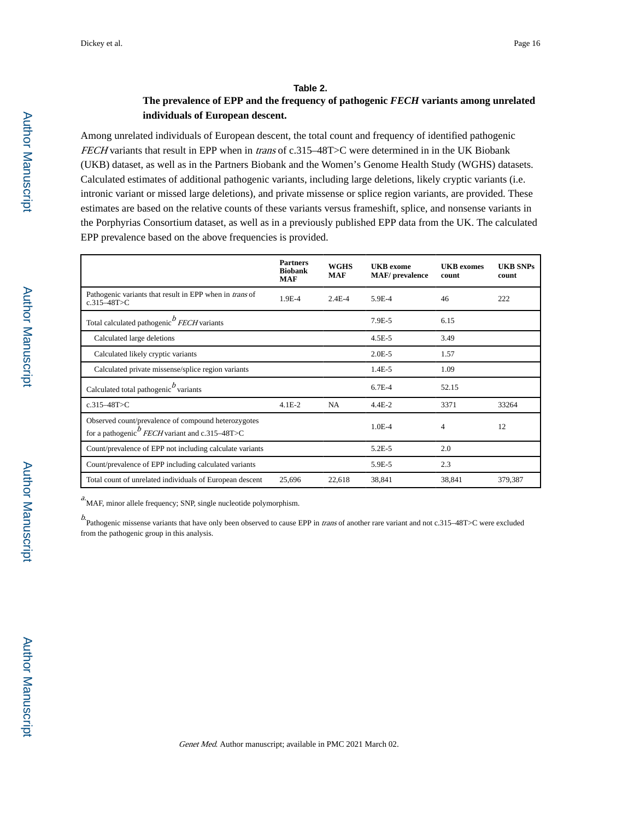#### **Table 2.**

## **The prevalence of EPP and the frequency of pathogenic** *FECH* **variants among unrelated individuals of European descent.**

Among unrelated individuals of European descent, the total count and frequency of identified pathogenic FECH variants that result in EPP when in trans of c.315–48T>C were determined in in the UK Biobank (UKB) dataset, as well as in the Partners Biobank and the Women's Genome Health Study (WGHS) datasets. Calculated estimates of additional pathogenic variants, including large deletions, likely cryptic variants (i.e. intronic variant or missed large deletions), and private missense or splice region variants, are provided. These estimates are based on the relative counts of these variants versus frameshift, splice, and nonsense variants in the Porphyrias Consortium dataset, as well as in a previously published EPP data from the UK. The calculated EPP prevalence based on the above frequencies is provided.

|                                                                                                                      | <b>Partners</b><br><b>Biobank</b><br><b>MAF</b> | <b>WGHS</b><br><b>MAF</b> | <b>UKB</b> exome<br><b>MAF</b> /prevalence | <b>UKB</b> exomes<br>count | <b>UKB SNPs</b><br>count |
|----------------------------------------------------------------------------------------------------------------------|-------------------------------------------------|---------------------------|--------------------------------------------|----------------------------|--------------------------|
| Pathogenic variants that result in EPP when in <i>trans</i> of<br>$c.315 - 48$ T $>$ C                               | 1.9E-4                                          | $2.4E-4$                  | 5.9E-4                                     | 46                         | 222                      |
| Total calculated pathogenic <i>P FECH</i> variants                                                                   |                                                 |                           | 7.9E-5                                     | 6.15                       |                          |
| Calculated large deletions                                                                                           |                                                 |                           | $4.5E - 5$                                 | 3.49                       |                          |
| Calculated likely cryptic variants                                                                                   |                                                 |                           | $2.0E - 5$                                 | 1.57                       |                          |
| Calculated private missense/splice region variants                                                                   |                                                 |                           | $1.4E-5$                                   | 1.09                       |                          |
| Calculated total pathogenic $\frac{b}{c}$ variants                                                                   |                                                 |                           | $6.7E-4$                                   | 52.15                      |                          |
| $c.315 - 48T > C$                                                                                                    | $4.1E-2$                                        | NA                        | $4.4E - 2$                                 | 3371                       | 33264                    |
| Observed count/prevalence of compound heterozygotes<br>for a pathogenic $\stackrel{b}{FECH}$ variant and c.315–48T>C |                                                 |                           | $1.0E - 4$                                 | 4                          | 12                       |
| Count/prevalence of EPP not including calculate variants                                                             |                                                 |                           | $5.2E - 5$                                 | 2.0                        |                          |
| Count/prevalence of EPP including calculated variants                                                                |                                                 |                           | 5.9E-5                                     | 2.3                        |                          |
| Total count of unrelated individuals of European descent                                                             | 25,696                                          | 22,618                    | 38,841                                     | 38,841                     | 379,387                  |

 $a$ . MAF, minor allele frequency; SNP, single nucleotide polymorphism.

b.<br>Pathogenic missense variants that have only been observed to cause EPP in *trans* of another rare variant and not c.315–48T>C were excluded from the pathogenic group in this analysis.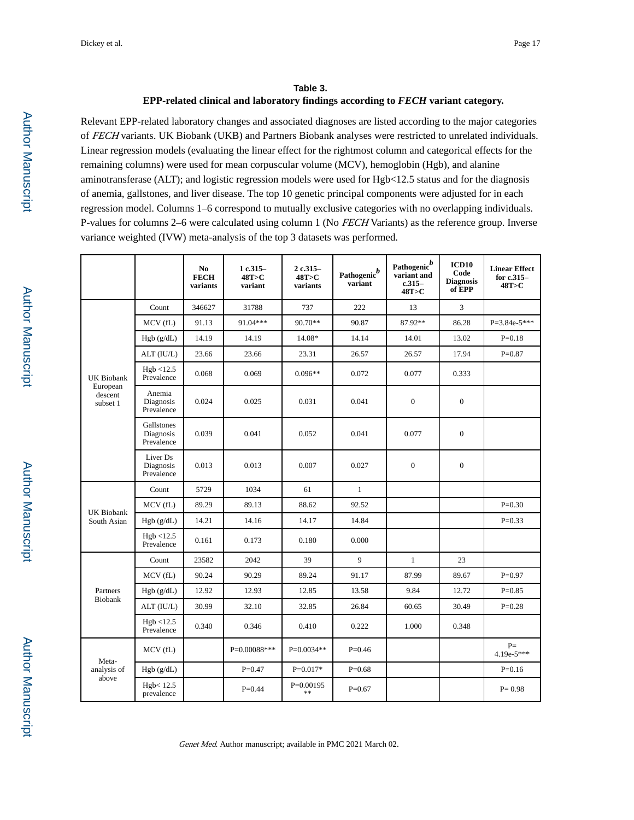## **Table 3. EPP-related clinical and laboratory findings according to** *FECH* **variant category.**

Relevant EPP-related laboratory changes and associated diagnoses are listed according to the major categories of FECH variants. UK Biobank (UKB) and Partners Biobank analyses were restricted to unrelated individuals. Linear regression models (evaluating the linear effect for the rightmost column and categorical effects for the remaining columns) were used for mean corpuscular volume (MCV), hemoglobin (Hgb), and alanine aminotransferase (ALT); and logistic regression models were used for Hgb<12.5 status and for the diagnosis of anemia, gallstones, and liver disease. The top 10 genetic principal components were adjusted for in each regression model. Columns 1–6 correspond to mutually exclusive categories with no overlapping individuals. P-values for columns 2–6 were calculated using column 1 (No FECH Variants) as the reference group. Inverse variance weighted (IVW) meta-analysis of the top 3 datasets was performed.

|                                               |                                       | No.<br><b>FECH</b><br>variants | 1 c.315-<br>48T>C<br>variant | 2 c.315-<br>48T > C<br>variants | Pathogenic $^b$<br>variant | Pathogenic $\stackrel{b}{\phantom{b}}$<br>variant and<br>$c.315-$<br>48T > C | ICD <sub>10</sub><br>Code<br><b>Diagnosis</b><br>of EPP | <b>Linear Effect</b><br>for $c.315-$<br>48T>C |
|-----------------------------------------------|---------------------------------------|--------------------------------|------------------------------|---------------------------------|----------------------------|------------------------------------------------------------------------------|---------------------------------------------------------|-----------------------------------------------|
| UK Biobank<br>European<br>descent<br>subset 1 | Count                                 | 346627                         | 31788                        | 737                             | 222                        | 13                                                                           | 3                                                       |                                               |
|                                               | MCV (fL)                              | 91.13                          | 91.04***                     | 90.70**                         | 90.87                      | 87.92**                                                                      | 86.28                                                   | $P=3.84e-5***$                                |
|                                               | Hgb (g/dL)                            | 14.19                          | 14.19                        | 14.08*                          | 14.14                      | 14.01                                                                        | 13.02                                                   | $P=0.18$                                      |
|                                               | ALT (IU/L)                            | 23.66                          | 23.66                        | 23.31                           | 26.57                      | 26.57                                                                        | 17.94                                                   | $P=0.87$                                      |
|                                               | Hgb < 12.5<br>Prevalence              | 0.068                          | 0.069                        | $0.096**$                       | 0.072                      | 0.077                                                                        | 0.333                                                   |                                               |
|                                               | Anemia<br>Diagnosis<br>Prevalence     | 0.024                          | 0.025                        | 0.031                           | 0.041                      | $\boldsymbol{0}$                                                             | $\overline{0}$                                          |                                               |
|                                               | Gallstones<br>Diagnosis<br>Prevalence | 0.039                          | 0.041                        | 0.052                           | 0.041                      | 0.077                                                                        | $\boldsymbol{0}$                                        |                                               |
|                                               | Liver Ds<br>Diagnosis<br>Prevalence   | 0.013                          | 0.013                        | 0.007                           | 0.027                      | $\boldsymbol{0}$                                                             | $\boldsymbol{0}$                                        |                                               |
|                                               | Count                                 | 5729                           | 1034                         | 61                              | $\mathbf{1}$               |                                                                              |                                                         |                                               |
|                                               | MCV(fL)                               | 89.29                          | 89.13                        | 88.62                           | 92.52                      |                                                                              |                                                         | $P=0.30$                                      |
| <b>UK Biobank</b><br>South Asian              | Hgb (g/dL)                            | 14.21                          | 14.16                        | 14.17                           | 14.84                      |                                                                              |                                                         | $P=0.33$                                      |
|                                               | Hgb < 12.5<br>Prevalence              | 0.161                          | 0.173                        | 0.180                           | 0.000                      |                                                                              |                                                         |                                               |
| Partners<br>Biobank                           | Count                                 | 23582                          | 2042                         | 39                              | $\mathbf Q$                | $\mathbf{1}$                                                                 | 23                                                      |                                               |
|                                               | MCV(fL)                               | 90.24                          | 90.29                        | 89.24                           | 91.17                      | 87.99                                                                        | 89.67                                                   | $P=0.97$                                      |
|                                               | Hgb (g/dL)                            | 12.92                          | 12.93                        | 12.85                           | 13.58                      | 9.84                                                                         | 12.72                                                   | $P=0.85$                                      |
|                                               | ALT (IU/L)                            | 30.99                          | 32.10                        | 32.85                           | 26.84                      | 60.65                                                                        | 30.49                                                   | $P=0.28$                                      |
|                                               | Hgb < 12.5<br>Prevalence              | 0.340                          | 0.346                        | 0.410                           | 0.222                      | 1.000                                                                        | 0.348                                                   |                                               |
| Meta-<br>analysis of<br>above                 | MCV(fL)                               |                                | $P=0.00088***$               | $P=0.0034**$                    | $P=0.46$                   |                                                                              |                                                         | $P=$<br>$4.19e-5***$                          |
|                                               | Hgb (g/dL)                            |                                | $P = 0.47$                   | $P=0.017*$                      | $P=0.68$                   |                                                                              |                                                         | $P=0.16$                                      |
|                                               | Hgb<12.5<br>prevalence                |                                | $P=0.44$                     | $P=0.00195$<br>**               | $P=0.67$                   |                                                                              |                                                         | $P = 0.98$                                    |